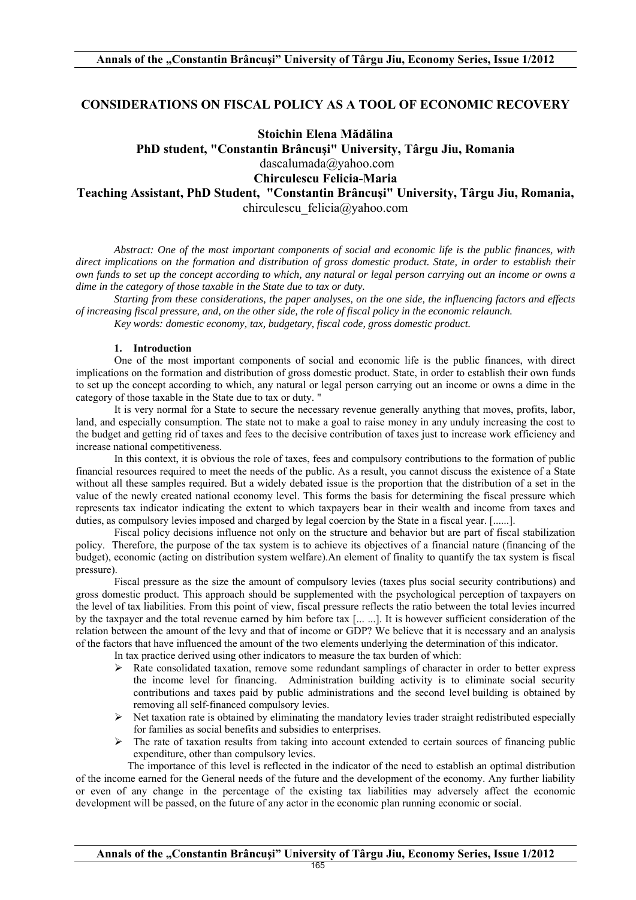# **CONSIDERATIONS ON FISCAL POLICY AS A TOOL OF ECONOMIC RECOVERY**

# **Stoichin Elena Mădălina**

**PhD student, "Constantin Brâncuşi" University, Târgu Jiu, Romania**  dascalumada@yahoo.com **Chirculescu Felicia-Maria** 

**Teaching Assistant, PhD Student, "Constantin Brâncuşi" University, Târgu Jiu, Romania,**  chirculescu\_felicia@yahoo.com

*Abstract: One of the most important components of social and economic life is the public finances, with direct implications on the formation and distribution of gross domestic product. State, in order to establish their own funds to set up the concept according to which, any natural or legal person carrying out an income or owns a dime in the category of those taxable in the State due to tax or duty.* 

*Starting from these considerations, the paper analyses, on the one side, the influencing factors and effects of increasing fiscal pressure, and, on the other side, the role of fiscal policy in the economic relaunch.* 

*Key words: domestic economy, tax, budgetary, fiscal code, gross domestic product.* 

## **1. Introduction**

One of the most important components of social and economic life is the public finances, with direct implications on the formation and distribution of gross domestic product. State, in order to establish their own funds to set up the concept according to which, any natural or legal person carrying out an income or owns a dime in the category of those taxable in the State due to tax or duty. "

It is very normal for a State to secure the necessary revenue generally anything that moves, profits, labor, land, and especially consumption. The state not to make a goal to raise money in any unduly increasing the cost to the budget and getting rid of taxes and fees to the decisive contribution of taxes just to increase work efficiency and increase national competitiveness.

In this context, it is obvious the role of taxes, fees and compulsory contributions to the formation of public financial resources required to meet the needs of the public. As a result, you cannot discuss the existence of a State without all these samples required. But a widely debated issue is the proportion that the distribution of a set in the value of the newly created national economy level. This forms the basis for determining the fiscal pressure which represents tax indicator indicating the extent to which taxpayers bear in their wealth and income from taxes and duties, as compulsory levies imposed and charged by legal coercion by the State in a fiscal year. [......].

Fiscal policy decisions influence not only on the structure and behavior but are part of fiscal stabilization policy. Therefore, the purpose of the tax system is to achieve its objectives of a financial nature (financing of the budget), economic (acting on distribution system welfare).An element of finality to quantify the tax system is fiscal pressure).

Fiscal pressure as the size the amount of compulsory levies (taxes plus social security contributions) and gross domestic product. This approach should be supplemented with the psychological perception of taxpayers on the level of tax liabilities. From this point of view, fiscal pressure reflects the ratio between the total levies incurred by the taxpayer and the total revenue earned by him before tax [... ...]. It is however sufficient consideration of the relation between the amount of the levy and that of income or GDP? We believe that it is necessary and an analysis of the factors that have influenced the amount of the two elements underlying the determination of this indicator.

In tax practice derived using other indicators to measure the tax burden of which:

- $\triangleright$  Rate consolidated taxation, remove some redundant samplings of character in order to better express the income level for financing. Administration building activity is to eliminate social security contributions and taxes paid by public administrations and the second level building is obtained by removing all self-financed compulsory levies.
- $\triangleright$  Net taxation rate is obtained by eliminating the mandatory levies trader straight redistributed especially for families as social benefits and subsidies to enterprises.
- $\triangleright$  The rate of taxation results from taking into account extended to certain sources of financing public expenditure, other than compulsory levies.

 The importance of this level is reflected in the indicator of the need to establish an optimal distribution of the income earned for the General needs of the future and the development of the economy. Any further liability or even of any change in the percentage of the existing tax liabilities may adversely affect the economic development will be passed, on the future of any actor in the economic plan running economic or social.

**Annals of the "Constantin Brâncuşi" University of Târgu Jiu, Economy Series, Issue 1/2012**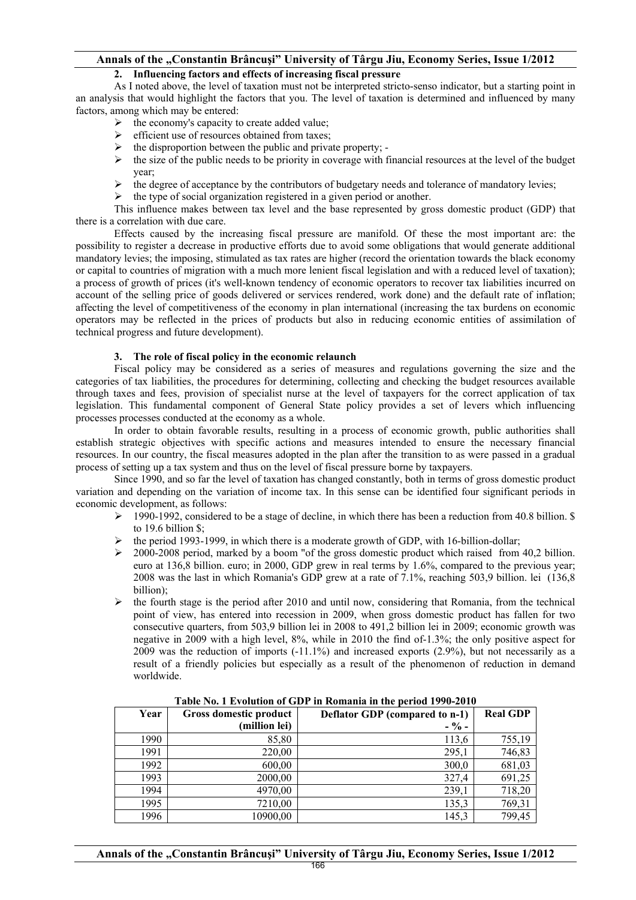# **Annals of the "Constantin Brâncuşi" University of Târgu Jiu, Economy Series, Issue 1/2012**

# **2. Influencing factors and effects of increasing fiscal pressure**

As I noted above, the level of taxation must not be interpreted stricto-senso indicator, but a starting point in an analysis that would highlight the factors that you. The level of taxation is determined and influenced by many factors, among which may be entered:

- $\triangleright$  the economy's capacity to create added value;
- $\triangleright$  efficient use of resources obtained from taxes;
- $\triangleright$  the disproportion between the public and private property; -
- $\geq$  the size of the public needs to be priority in coverage with financial resources at the level of the budget year;
- $\triangleright$  the degree of acceptance by the contributors of budgetary needs and tolerance of mandatory levies;
- $\triangleright$  the type of social organization registered in a given period or another.

This influence makes between tax level and the base represented by gross domestic product (GDP) that there is a correlation with due care.

Effects caused by the increasing fiscal pressure are manifold. Of these the most important are: the possibility to register a decrease in productive efforts due to avoid some obligations that would generate additional mandatory levies; the imposing, stimulated as tax rates are higher (record the orientation towards the black economy or capital to countries of migration with a much more lenient fiscal legislation and with a reduced level of taxation); a process of growth of prices (it's well-known tendency of economic operators to recover tax liabilities incurred on account of the selling price of goods delivered or services rendered, work done) and the default rate of inflation; affecting the level of competitiveness of the economy in plan international (increasing the tax burdens on economic operators may be reflected in the prices of products but also in reducing economic entities of assimilation of technical progress and future development).

## **3. The role of fiscal policy in the economic relaunch**

Fiscal policy may be considered as a series of measures and regulations governing the size and the categories of tax liabilities, the procedures for determining, collecting and checking the budget resources available through taxes and fees, provision of specialist nurse at the level of taxpayers for the correct application of tax legislation. This fundamental component of General State policy provides a set of levers which influencing processes processes conducted at the economy as a whole.

In order to obtain favorable results, resulting in a process of economic growth, public authorities shall establish strategic objectives with specific actions and measures intended to ensure the necessary financial resources. In our country, the fiscal measures adopted in the plan after the transition to as were passed in a gradual process of setting up a tax system and thus on the level of fiscal pressure borne by taxpayers.

Since 1990, and so far the level of taxation has changed constantly, both in terms of gross domestic product variation and depending on the variation of income tax. In this sense can be identified four significant periods in economic development, as follows:

- $\geq 1990-1992$ , considered to be a stage of decline, in which there has been a reduction from 40.8 billion. \$ to 19.6 billion \$;
- the period 1993-1999, in which there is a moderate growth of GDP, with 16-billion-dollar;<br>• 2000-2008 period. marked by a boom "of the gross domestic product which raised from
- ¾ 2000-2008 period, marked by a boom "of the gross domestic product which raised from 40,2 billion. euro at 136,8 billion. euro; in 2000, GDP grew in real terms by 1.6%, compared to the previous year; 2008 was the last in which Romania's GDP grew at a rate of 7.1%, reaching 503,9 billion. lei (136,8 billion);
- $\triangleright$  the fourth stage is the period after 2010 and until now, considering that Romania, from the technical point of view, has entered into recession in 2009, when gross domestic product has fallen for two consecutive quarters, from 503,9 billion lei in 2008 to 491,2 billion lei in 2009; economic growth was negative in 2009 with a high level, 8%, while in 2010 the find of-1.3%; the only positive aspect for 2009 was the reduction of imports (-11.1%) and increased exports (2.9%), but not necessarily as a result of a friendly policies but especially as a result of the phenomenon of reduction in demand worldwide.

| Year | Gross domestic product | Deflator GDP (compared to n-1) | <b>Real GDP</b> |
|------|------------------------|--------------------------------|-----------------|
|      | (million lei)          | $-$ % –                        |                 |
| 1990 | 85,80                  | 113,6                          | 755,19          |
| 1991 | 220,00                 | 295,1                          | 746,83          |
| 1992 | 600,00                 | 300,0                          | 681,03          |
| 1993 | 2000,00                | 327,4                          | 691,25          |
| 1994 | 4970,00                | 239,1                          | 718,20          |
| 1995 | 7210,00                | 135,3                          | 769,31          |
| 1996 | 10900,00               | 145,3                          | 799,45          |

#### **Table No. 1 Evolution of GDP in Romania in the period 1990-2010**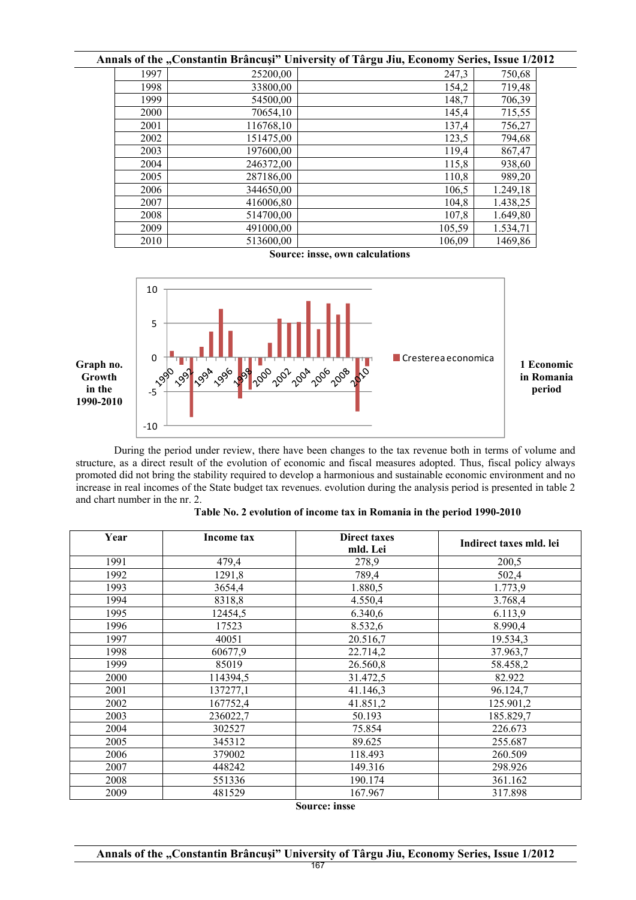|      |           | Annals of the "Constantin Brâncuși" University of Târgu Jiu, Economy Series, Issue 1/2012 |          |
|------|-----------|-------------------------------------------------------------------------------------------|----------|
| 1997 | 25200,00  | 247,3                                                                                     | 750,68   |
| 1998 | 33800,00  | 154,2                                                                                     | 719,48   |
| 1999 | 54500,00  | 148,7                                                                                     | 706,39   |
| 2000 | 70654,10  | 145,4                                                                                     | 715,55   |
| 2001 | 116768,10 | 137,4                                                                                     | 756,27   |
| 2002 | 151475,00 | 123,5                                                                                     | 794,68   |
| 2003 | 197600,00 | 119,4                                                                                     | 867,47   |
| 2004 | 246372,00 | 115,8                                                                                     | 938,60   |
| 2005 | 287186,00 | 110,8                                                                                     | 989,20   |
| 2006 | 344650,00 | 106,5                                                                                     | 1.249,18 |
| 2007 | 416006,80 | 104,8                                                                                     | 1.438,25 |
| 2008 | 514700,00 | 107.8                                                                                     | 1.649,80 |
| 2009 | 491000,00 | 105,59                                                                                    | 1.534,71 |
| 2010 | 513600.00 | 106,09                                                                                    | 1469,86  |

**Source: insse, own calculations** 



During the period under review, there have been changes to the tax revenue both in terms of volume and structure, as a direct result of the evolution of economic and fiscal measures adopted. Thus, fiscal policy always promoted did not bring the stability required to develop a harmonious and sustainable economic environment and no increase in real incomes of the State budget tax revenues. evolution during the analysis period is presented in table 2 and chart number in the nr. 2.

| Year                 | Income tax | <b>Direct taxes</b><br>mld. Lei | Indirect taxes mld. lei |
|----------------------|------------|---------------------------------|-------------------------|
| 1991                 | 479,4      | 278,9                           | 200,5                   |
| 1992                 | 1291,8     | 789,4                           | 502,4                   |
| 1993                 | 3654,4     | 1.880,5                         | 1.773,9                 |
| 1994                 | 8318,8     | 4.550,4                         | 3.768,4                 |
| 1995                 | 12454,5    | 6.340,6                         | 6.113,9                 |
| 1996                 | 17523      | 8.532,6                         | 8.990,4                 |
| 1997                 | 40051      | 20.516,7                        | 19.534,3                |
| 1998                 | 60677,9    | 22.714,2                        | 37.963,7                |
| 1999                 | 85019      | 26.560,8                        | 58.458,2                |
| 2000                 | 114394,5   | 31.472,5                        | 82.922                  |
| 2001                 | 137277,1   | 41.146,3                        | 96.124,7                |
| 2002                 | 167752,4   | 41.851,2                        | 125.901,2               |
| 2003                 | 236022,7   | 50.193                          | 185.829,7               |
| 2004                 | 302527     | 75.854                          | 226.673                 |
| 2005                 | 345312     | 89.625                          | 255.687                 |
| 2006                 | 379002     | 118.493                         | 260.509                 |
| 2007                 | 448242     | 149.316                         | 298.926                 |
| 2008                 | 551336     | 190.174                         | 361.162                 |
| 2009                 | 481529     | 167.967                         | 317.898                 |
| <b>Source: insse</b> |            |                                 |                         |

| Table No. 2 evolution of income tax in Romania in the period 1990-2010 |  |
|------------------------------------------------------------------------|--|
|                                                                        |  |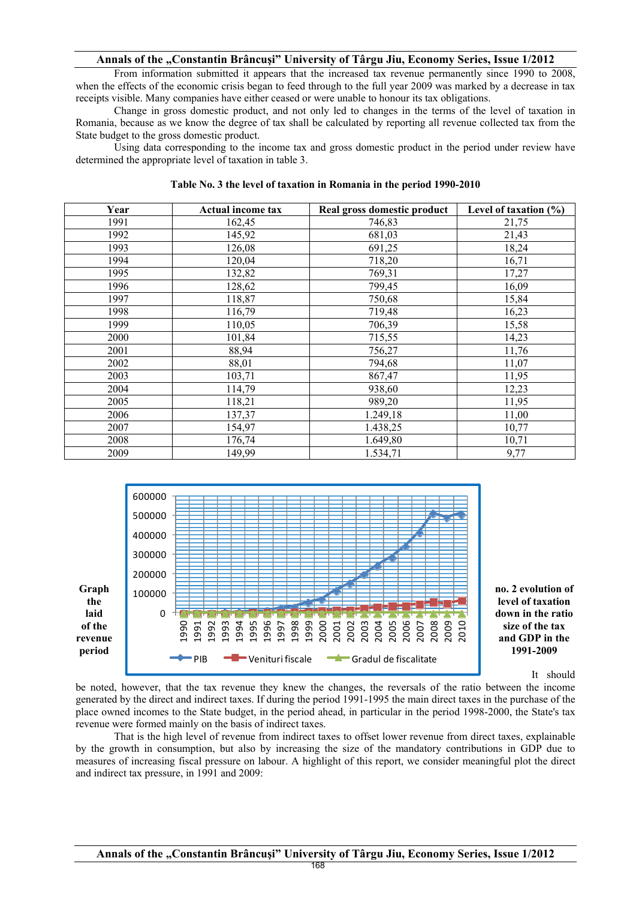## **Annals of the "Constantin Brâncuşi" University of Târgu Jiu, Economy Series, Issue 1/2012**

From information submitted it appears that the increased tax revenue permanently since 1990 to 2008, when the effects of the economic crisis began to feed through to the full year 2009 was marked by a decrease in tax receipts visible. Many companies have either ceased or were unable to honour its tax obligations.

Change in gross domestic product, and not only led to changes in the terms of the level of taxation in Romania, because as we know the degree of tax shall be calculated by reporting all revenue collected tax from the State budget to the gross domestic product.

Using data corresponding to the income tax and gross domestic product in the period under review have determined the appropriate level of taxation in table 3.

| Year | <b>Actual income tax</b> | Real gross domestic product | Level of taxation $(\% )$ |
|------|--------------------------|-----------------------------|---------------------------|
| 1991 | 162,45                   | 746,83                      | 21,75                     |
| 1992 | 145,92                   | 681,03                      | 21,43                     |
| 1993 | 126,08                   | 691,25                      | 18,24                     |
| 1994 | 120,04                   | 718,20                      | 16,71                     |
| 1995 | 132,82                   | 769,31                      | 17,27                     |
| 1996 | 128,62                   | 799,45                      | 16,09                     |
| 1997 | 118,87                   | 750,68                      | 15,84                     |
| 1998 | 116,79                   | 719,48                      | 16,23                     |
| 1999 | 110,05                   | 706,39                      | 15,58                     |
| 2000 | 101,84                   | 715,55                      | 14,23                     |
| 2001 | 88,94                    | 756,27                      | 11,76                     |
| 2002 | 88,01                    | 794,68                      | 11,07                     |
| 2003 | 103,71                   | 867,47                      | 11,95                     |
| 2004 | 114,79                   | 938,60                      | 12,23                     |
| 2005 | 118,21                   | 989,20                      | 11,95                     |
| 2006 | 137,37                   | 1.249,18                    | 11,00                     |
| 2007 | 154,97                   | 1.438,25                    | 10,77                     |
| 2008 | 176,74                   | 1.649,80                    | 10,71                     |
| 2009 | 149,99                   | 1.534,71                    | 9,77                      |





It should

be noted, however, that the tax revenue they knew the changes, the reversals of the ratio between the income generated by the direct and indirect taxes. If during the period 1991-1995 the main direct taxes in the purchase of the place owned incomes to the State budget, in the period ahead, in particular in the period 1998-2000, the State's tax revenue were formed mainly on the basis of indirect taxes.

That is the high level of revenue from indirect taxes to offset lower revenue from direct taxes, explainable by the growth in consumption, but also by increasing the size of the mandatory contributions in GDP due to measures of increasing fiscal pressure on labour. A highlight of this report, we consider meaningful plot the direct and indirect tax pressure, in 1991 and 2009: